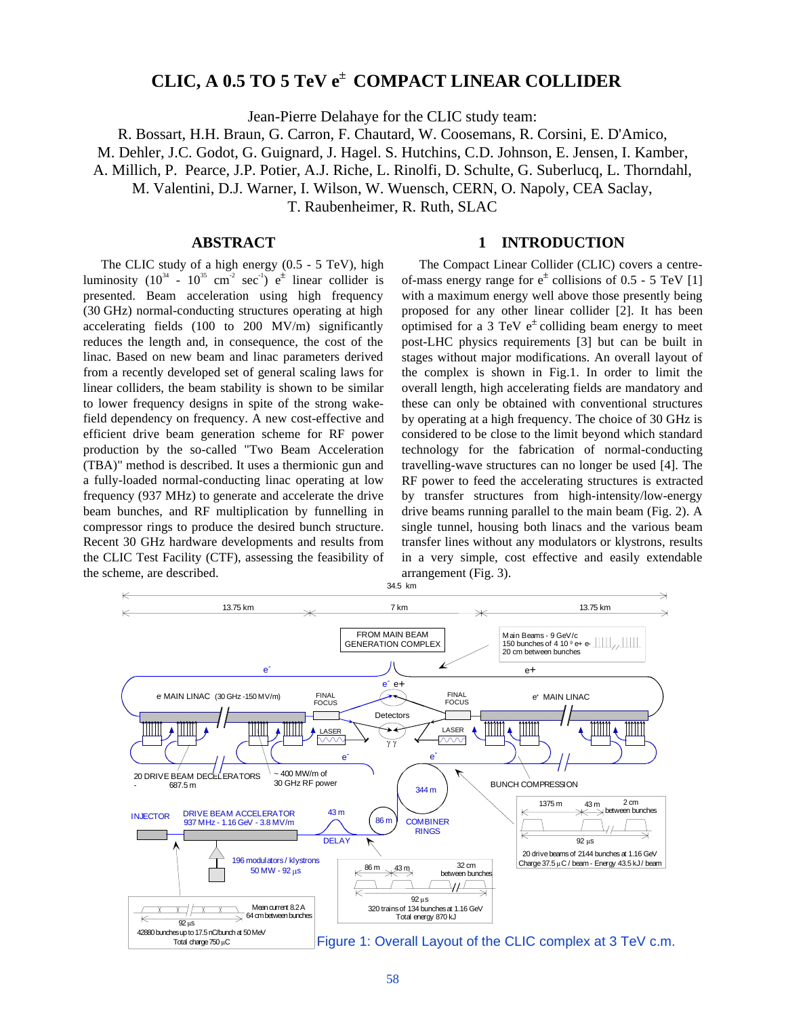# **CLIC, A 0.5 TO 5 TeV e**<sup>±</sup> **COMPACT LINEAR COLLIDER**

Jean-Pierre Delahaye for the CLIC study team:

R. Bossart, H.H. Braun, G. Carron, F. Chautard, W. Coosemans, R. Corsini, E. D'Amico,

M. Dehler, J.C. Godot, G. Guignard, J. Hagel. S. Hutchins, C.D. Johnson, E. Jensen, I. Kamber,

A. Millich, P. Pearce, J.P. Potier, A.J. Riche, L. Rinolfi, D. Schulte, G. Suberlucq, L. Thorndahl,

M. Valentini, D.J. Warner, I. Wilson, W. Wuensch, CERN, O. Napoly, CEA Saclay,

T. Raubenheimer, R. Ruth, SLAC

# **ABSTRACT**

The CLIC study of a high energy (0.5 - 5 TeV), high luminosity  $(10^{34} - 10^{35} \text{ cm}^{-2} \text{ sec}^{-1}) e^{\pm}$  linear collider is presented. Beam acceleration using high frequency (30 GHz) normal-conducting structures operating at high accelerating fields (100 to 200 MV/m) significantly reduces the length and, in consequence, the cost of the linac. Based on new beam and linac parameters derived from a recently developed set of general scaling laws for linear colliders, the beam stability is shown to be similar to lower frequency designs in spite of the strong wakefield dependency on frequency. A new cost-effective and efficient drive beam generation scheme for RF power production by the so-called "Two Beam Acceleration (TBA)" method is described. It uses a thermionic gun and a fully-loaded normal-conducting linac operating at low frequency (937 MHz) to generate and accelerate the drive beam bunches, and RF multiplication by funnelling in compressor rings to produce the desired bunch structure. Recent 30 GHz hardware developments and results from the CLIC Test Facility (CTF), assessing the feasibility of the scheme, are described.

## **1 INTRODUCTION**

The Compact Linear Collider (CLIC) covers a centreof-mass energy range for  $e^{\pm}$  collisions of 0.5 - 5 TeV [1] with a maximum energy well above those presently being proposed for any other linear collider [2]. It has been optimised for a 3 TeV  $e^{\pm}$  colliding beam energy to meet post-LHC physics requirements [3] but can be built in stages without major modifications. An overall layout of the complex is shown in Fig.1. In order to limit the overall length, high accelerating fields are mandatory and these can only be obtained with conventional structures by operating at a high frequency. The choice of 30 GHz is considered to be close to the limit beyond which standard technology for the fabrication of normal-conducting travelling-wave structures can no longer be used [4]. The RF power to feed the accelerating structures is extracted by transfer structures from high-intensity/low-energy drive beams running parallel to the main beam (Fig. 2). A single tunnel, housing both linacs and the various beam transfer lines without any modulators or klystrons, results in a very simple, cost effective and easily extendable arrangement (Fig. 3).

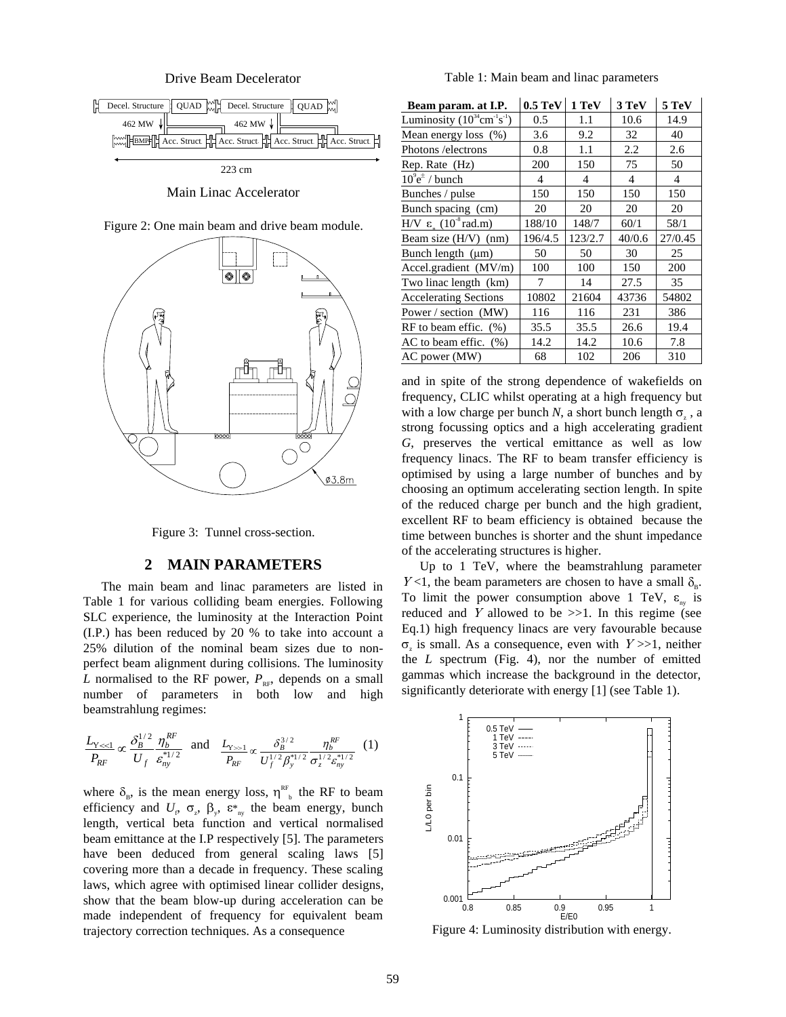Drive Beam Decelerator



Main Linac Accelerator





Figure 3: Tunnel cross-section.

## **2 MAIN PARAMETERS**

The main beam and linac parameters are listed in Table 1 for various colliding beam energies. Following SLC experience, the luminosity at the Interaction Point (I.P.) has been reduced by 20 % to take into account a 25% dilution of the nominal beam sizes due to nonperfect beam alignment during collisions. The luminosity *L* normalised to the RF power,  $P_{RF}$ , depends on a small number of parameters in both low and high beamstrahlung regimes:

$$
\frac{L_{Y \ll 1}}{P_{RF}} \propto \frac{\delta_B^{1/2}}{U_f} \frac{\eta_b^{RF}}{\varepsilon_{ny}^{*1/2}} \text{ and } \frac{L_{Y \gg 1}}{P_{RF}} \propto \frac{\delta_B^{3/2}}{U_f^{1/2} \beta_y^{*1/2}} \frac{\eta_b^{RF}}{\sigma_z^{1/2} \varepsilon_{ny}^{*1/2}} (1)
$$

where  $\delta_{\rm B}$ , is the mean energy loss,  $\eta_{\rm b}^{\rm RF}$  the RF to beam efficiency and  $U_f$ ,  $\sigma_z$ ,  $\beta_y$ ,  $\varepsilon^*$ <sub>ny</sub> the beam energy, bunch length, vertical beta function and vertical normalised beam emittance at the I.P respectively [5]. The parameters have been deduced from general scaling laws [5] covering more than a decade in frequency. These scaling laws, which agree with optimised linear collider designs, show that the beam blow-up during acceleration can be made independent of frequency for equivalent beam trajectory correction techniques. As a consequence

Table 1: Main beam and linac parameters

| Beam param. at I.P.                                | $0.5 \text{ TeV}$ | 1 TeV   | 3 TeV  | 5 TeV   |
|----------------------------------------------------|-------------------|---------|--------|---------|
| Luminosity $(10^{34} \text{cm}^{-1}\text{s}^{-1})$ | 0.5               | 1.1     | 10.6   | 14.9    |
| Mean energy loss (%)                               | 3.6               | 9.2     | 32     | 40      |
| Photons / electrons                                | 0.8               | 1.1     | 2.2    | 2.6     |
| Rep. Rate (Hz)                                     | 200               | 150     | 75     | 50      |
| $10^9$ e <sup><math>\pm</math></sup> / bunch       | 4                 | 4       | 4      | 4       |
| Bunches / pulse                                    | 150               | 150     | 150    | 150     |
| Bunch spacing (cm)                                 | 20                | 20      | 20     | 20      |
| H/V ε $(10^8 \text{ rad.m})$                       | 188/10            | 148/7   | 60/1   | 58/1    |
| Beam size (H/V) (nm)                               | 196/4.5           | 123/2.7 | 40/0.6 | 27/0.45 |
| Bunch length $(\mu m)$                             | 50                | 50      | 30     | 25      |
| Accel.gradient (MV/m)                              | 100               | 100     | 150    | 200     |
| Two linac length (km)                              | 7                 | 14      | 27.5   | 35      |
| <b>Accelerating Sections</b>                       | 10802             | 21604   | 43736  | 54802   |
| Power / section (MW)                               | 116               | 116     | 231    | 386     |
| $RF$ to beam effic. $(\%)$                         | 35.5              | 35.5    | 26.6   | 19.4    |
| $AC$ to beam effic. $(\%)$                         | 14.2              | 14.2    | 10.6   | 7.8     |
| AC power (MW)                                      | 68                | 102     | 206    | 310     |

and in spite of the strong dependence of wakefields on frequency, CLIC whilst operating at a high frequency but with a low charge per bunch *N*, a short bunch length  $\sigma_z$ , a strong focussing optics and a high accelerating gradient *G*, preserves the vertical emittance as well as low frequency linacs. The RF to beam transfer efficiency is optimised by using a large number of bunches and by choosing an optimum accelerating section length. In spite of the reduced charge per bunch and the high gradient, excellent RF to beam efficiency is obtained because the time between bunches is shorter and the shunt impedance of the accelerating structures is higher.

Up to 1 TeV, where the beamstrahlung parameter  $Y<1$ , the beam parameters are chosen to have a small  $\delta_{p}$ . To limit the power consumption above 1 TeV,  $\varepsilon_{\text{av}}$  is reduced and Y allowed to be  $>>1$ . In this regime (see Eq.1) high frequency linacs are very favourable because  $\sigma_z$  is small. As a consequence, even with  $Y >> 1$ , neither the *L* spectrum (Fig. 4), nor the number of emitted gammas which increase the background in the detector, significantly deteriorate with energy [1] (see Table 1).



Figure 4: Luminosity distribution with energy.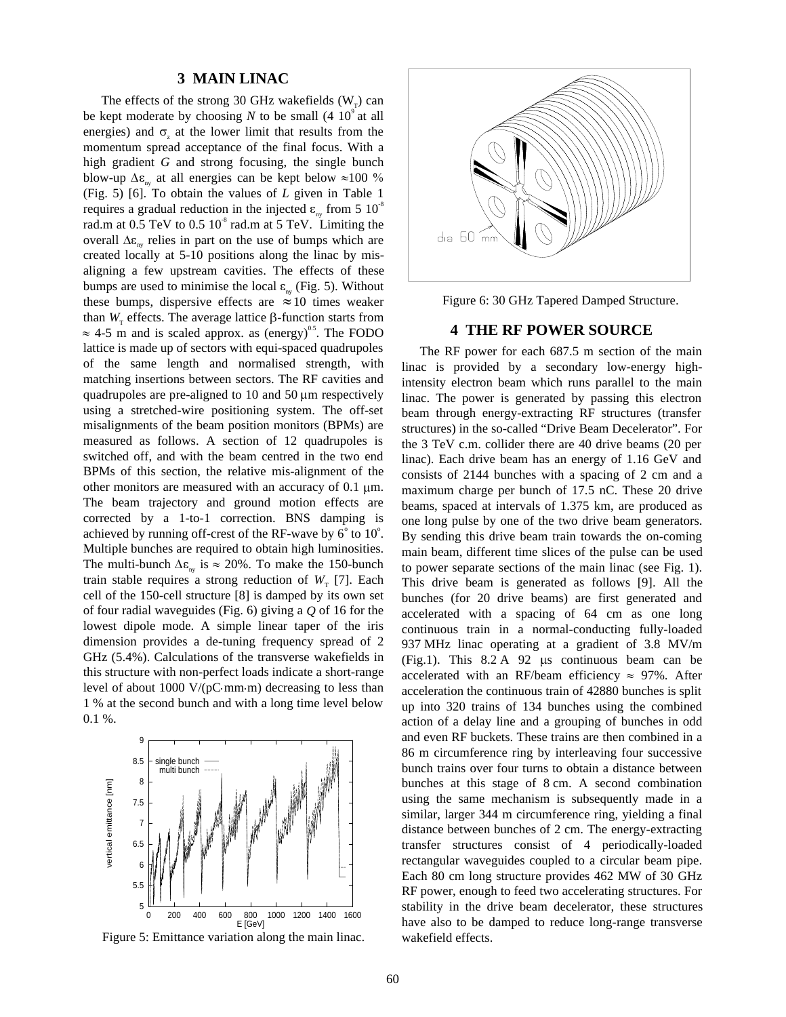## **3 MAIN LINAC**

The effects of the strong 30 GHz wakefields  $(W<sub>r</sub>)$  can be kept moderate by choosing  $N$  to be small  $(4\ 10^9)$  at all energies) and  $\sigma$ <sub>z</sub> at the lower limit that results from the momentum spread acceptance of the final focus. With a high gradient *G* and strong focusing, the single bunch blow-up  $\Delta \varepsilon_{\rm w}$  at all energies can be kept below  $\approx 100\%$ (Fig. 5) [6]. To obtain the values of *L* given in Table 1 requires a gradual reduction in the injected  $\varepsilon_{\rm m}$  from 5 10<sup>-8</sup> rad.m at  $0.5$  TeV to  $0.5 10<sup>8</sup>$  rad.m at  $5$  TeV. Limiting the overall  $\Delta \varepsilon_{\text{av}}$  relies in part on the use of bumps which are created locally at 5-10 positions along the linac by misaligning a few upstream cavities. The effects of these bumps are used to minimise the local  $\varepsilon_{\text{av}}$  (Fig. 5). Without these bumps, dispersive effects are  $\approx 10$  times weaker than  $W_{\tau}$  effects. The average lattice  $\beta$ -function starts from  $\approx$  4-5 m and is scaled approx. as (energy)<sup>0.5</sup>. The FODO lattice is made up of sectors with equi-spaced quadrupoles of the same length and normalised strength, with matching insertions between sectors. The RF cavities and quadrupoles are pre-aligned to 10 and 50  $\mu$ m respectively using a stretched-wire positioning system. The off-set misalignments of the beam position monitors (BPMs) are measured as follows. A section of 12 quadrupoles is switched off, and with the beam centred in the two end BPMs of this section, the relative mis-alignment of the other monitors are measured with an accuracy of  $0.1 \mu m$ . The beam trajectory and ground motion effects are corrected by a 1-to-1 correction. BNS damping is achieved by running off-crest of the RF-wave by  $6^{\circ}$  to  $10^{\circ}$ . Multiple bunches are required to obtain high luminosities. The multi-bunch  $\Delta \varepsilon_{av}$  is  $\approx 20\%$ . To make the 150-bunch train stable requires a strong reduction of  $W_T$  [7]. Each cell of the 150-cell structure [8] is damped by its own set of four radial waveguides (Fig. 6) giving a *Q* of 16 for the lowest dipole mode. A simple linear taper of the iris dimension provides a de-tuning frequency spread of 2 GHz (5.4%). Calculations of the transverse wakefields in this structure with non-perfect loads indicate a short-range level of about 1000 V/( $pC$  mm m) decreasing to less than 1 % at the second bunch and with a long time level below 0.1 %.



Figure 5: Emittance variation along the main linac.



Figure 6: 30 GHz Tapered Damped Structure.

#### **4 THE RF POWER SOURCE**

The RF power for each 687.5 m section of the main linac is provided by a secondary low-energy highintensity electron beam which runs parallel to the main linac. The power is generated by passing this electron beam through energy-extracting RF structures (transfer structures) in the so-called "Drive Beam Decelerator". For the 3 TeV c.m. collider there are 40 drive beams (20 per linac). Each drive beam has an energy of 1.16 GeV and consists of 2144 bunches with a spacing of 2 cm and a maximum charge per bunch of 17.5 nC. These 20 drive beams, spaced at intervals of 1.375 km, are produced as one long pulse by one of the two drive beam generators. By sending this drive beam train towards the on-coming main beam, different time slices of the pulse can be used to power separate sections of the main linac (see Fig. 1). This drive beam is generated as follows [9]. All the bunches (for 20 drive beams) are first generated and accelerated with a spacing of 64 cm as one long continuous train in a normal-conducting fully-loaded 937 MHz linac operating at a gradient of 3.8 MV/m (Fig.1). This  $8.2 \text{ A}$  92 us continuous beam can be accelerated with an RF/beam efficiency  $\approx$  97%. After acceleration the continuous train of 42880 bunches is split up into 320 trains of 134 bunches using the combined action of a delay line and a grouping of bunches in odd and even RF buckets. These trains are then combined in a 86 m circumference ring by interleaving four successive bunch trains over four turns to obtain a distance between bunches at this stage of 8 cm. A second combination using the same mechanism is subsequently made in a similar, larger 344 m circumference ring, yielding a final distance between bunches of 2 cm. The energy-extracting transfer structures consist of 4 periodically-loaded rectangular waveguides coupled to a circular beam pipe. Each 80 cm long structure provides 462 MW of 30 GHz RF power, enough to feed two accelerating structures. For stability in the drive beam decelerator, these structures have also to be damped to reduce long-range transverse wakefield effects.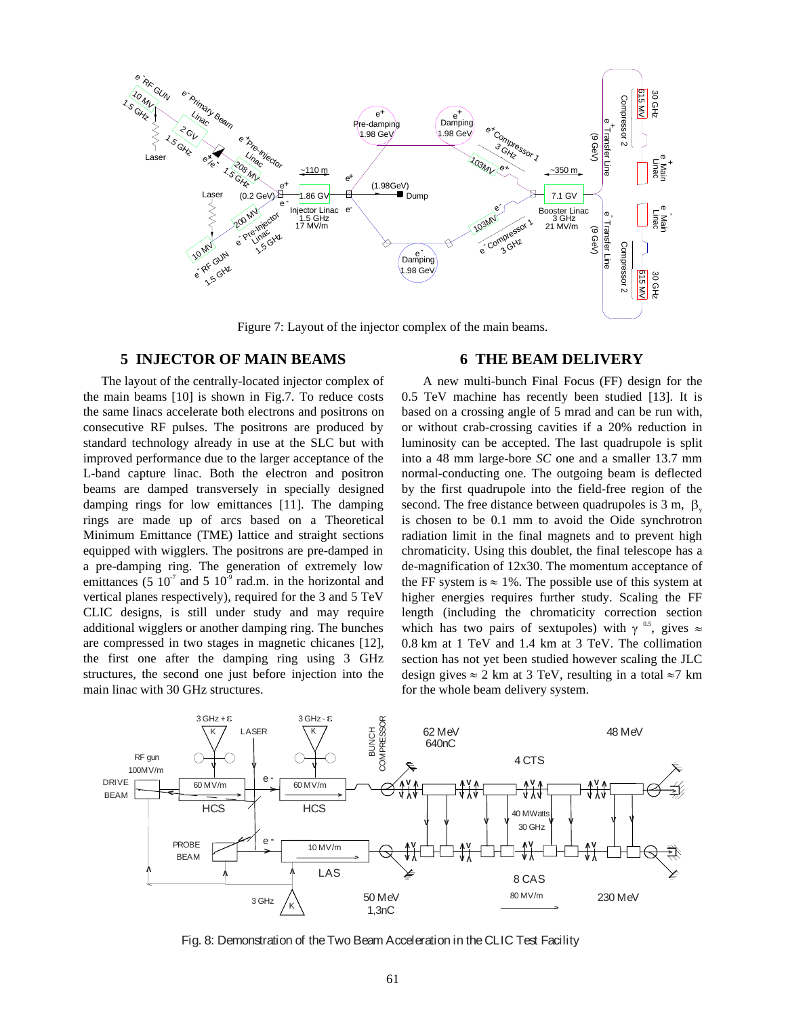

Figure 7: Layout of the injector complex of the main beams.

# **5 INJECTOR OF MAIN BEAMS**

The layout of the centrally-located injector complex of the main beams [10] is shown in Fig.7. To reduce costs the same linacs accelerate both electrons and positrons on consecutive RF pulses. The positrons are produced by standard technology already in use at the SLC but with improved performance due to the larger acceptance of the L-band capture linac. Both the electron and positron beams are damped transversely in specially designed damping rings for low emittances [11]. The damping rings are made up of arcs based on a Theoretical Minimum Emittance (TME) lattice and straight sections equipped with wigglers. The positrons are pre-damped in a pre-damping ring. The generation of extremely low emittances (5  $10^{-7}$  and 5  $10^{-9}$  rad.m. in the horizontal and vertical planes respectively), required for the 3 and 5 TeV CLIC designs, is still under study and may require additional wigglers or another damping ring. The bunches are compressed in two stages in magnetic chicanes [12], the first one after the damping ring using 3 GHz structures, the second one just before injection into the main linac with 30 GHz structures.

# **6 THE BEAM DELIVERY**

 A new multi-bunch Final Focus (FF) design for the 0.5 TeV machine has recently been studied [13]. It is based on a crossing angle of 5 mrad and can be run with, or without crab-crossing cavities if a 20% reduction in luminosity can be accepted. The last quadrupole is split into a 48 mm large-bore *SC* one and a smaller 13.7 mm normal-conducting one. The outgoing beam is deflected by the first quadrupole into the field-free region of the second. The free distance between quadrupoles is  $3 \text{ m}$ ,  $\beta$ is chosen to be 0.1 mm to avoid the Oide synchrotron radiation limit in the final magnets and to prevent high chromaticity. Using this doublet, the final telescope has a de-magnification of 12x30. The momentum acceptance of the FF system is  $\approx 1\%$ . The possible use of this system at higher energies requires further study. Scaling the FF length (including the chromaticity correction section which has two pairs of sextupoles) with  $\gamma^{0.5}$ , gives  $\approx$ 0.8 km at 1 TeV and 1.4 km at 3 TeV. The collimation section has not yet been studied however scaling the JLC design gives  $\approx 2$  km at 3 TeV, resulting in a total  $\approx 7$  km for the whole beam delivery system.



Fig. 8: Demonstration of the Two Beam Acceleration in the CLIC Test Facility